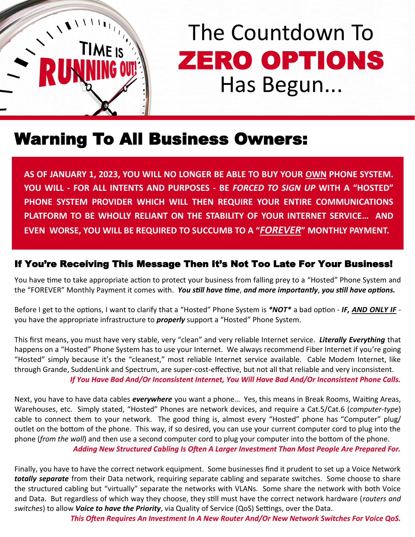

# The Countdown To ZERO OPTIONS Has Begun...

### Warning To All Business Owners:

**AS OF JANUARY 1, 2023, YOU WILL NO LONGER BE ABLE TO BUY YOUR OWN PHONE SYSTEM. YOU WILL - FOR ALL INTENTS AND PURPOSES - BE** *FORCED TO SIGN UP* **WITH A "HOSTED" PHONE SYSTEM PROVIDER WHICH WILL THEN REQUIRE YOUR ENTIRE COMMUNICATIONS PLATFORM TO BE WHOLLY RELIANT ON THE STABILITY OF YOUR INTERNET SERVICE… AND EVEN WORSE, YOU WILL BE REQUIRED TO SUCCUMB TO A "***FOREVER***" MONTHLY PAYMENT.**

#### If You're Receiving This Message Then It's Not Too Late For Your Business!

You have time to take appropriate action to protect your business from falling prey to a "Hosted" Phone System and the "FOREVER" Monthly Payment it comes with. *You still have time*, *and more importantly*, *you still have options.*

Before I get to the options, I want to clarify that a "Hosted" Phone System is *\*NOT\** a bad option - *IF, AND ONLY IF* you have the appropriate infrastructure to *properly* support a "Hosted" Phone System.

This first means, you must have very stable, very "clean" and very reliable Internet service. *Literally Everything* that happens on a "Hosted" Phone System has to use your Internet. We always recommend Fiber Internet if you're going "Hosted" simply because it's the "cleanest," most reliable Internet service available. Cable Modem Internet, like through Grande, SuddenLink and Spectrum, are super-cost-effective, but not all that reliable and very inconsistent. *If You Have Bad And/Or Inconsistent Internet, You Will Have Bad And/Or Inconsistent Phone Calls.*

Next, you have to have data cables *everywhere* you want a phone… Yes, this means in Break Rooms, Waiting Areas, Warehouses, etc. Simply stated, "Hosted" Phones are network devices, and require a Cat.5/Cat.6 (*computer-type*) cable to connect them to your network. The good thing is, almost every "Hosted" phone has "Computer" plug/ outlet on the bottom of the phone. This way, if so desired, you can use your current computer cord to plug into the phone (*from the wall*) and then use a second computer cord to plug your computer into the bottom of the phone.

*Adding New Structured Cabling Is Often A Larger Investment Than Most People Are Prepared For.*

Finally, you have to have the correct network equipment. Some businesses find it prudent to set up a Voice Network *totally separate* from their Data network, requiring separate cabling and separate switches. Some choose to share the structured cabling but "virtually" separate the networks with VLANs. Some share the network with both Voice and Data. But regardless of which way they choose, they still must have the correct network hardware (*routers and switches*) to allow *Voice to have the Priority*, via Quality of Service (QoS) Settings, over the Data.

*This Often Requires An Investment In A New Router And/Or New Network Switches For Voice QoS.*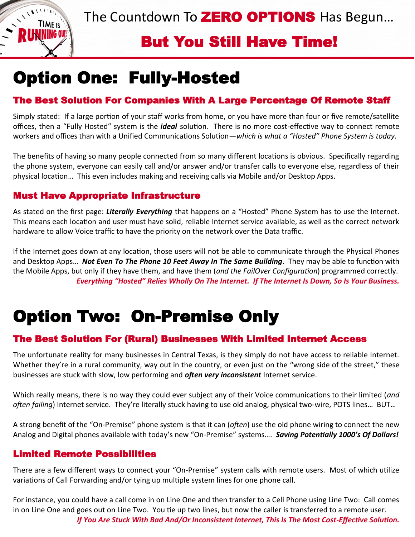The Countdown To **ZERO OPTIONS** Has Begun...

### But You Still Have Time!

# Option One: Fully-Hosted

 $\sqrt{1 + \frac{1}{\sqrt{1 + \frac{1}{2}}}}$ 

**TIME**<sub>IS</sub> **S LINNING ON** 

#### The Best Solution For Companies With A Large Percentage Of Remote Staff

Simply stated: If a large portion of your staff works from home, or you have more than four or five remote/satellite offices, then a "Fully Hosted" system is the *ideal* solution. There is no more cost-effective way to connect remote workers and offices than with a Unified Communications Solution—*which is what a "Hosted" Phone System is today*.

The benefits of having so many people connected from so many different locations is obvious. Specifically regarding the phone system, everyone can easily call and/or answer and/or transfer calls to everyone else, regardless of their physical location… This even includes making and receiving calls via Mobile and/or Desktop Apps.

#### Must Have Appropriate Infrastructure

As stated on the first page: *Literally Everything* that happens on a "Hosted" Phone System has to use the Internet. This means each location and user must have solid, reliable Internet service available, as well as the correct network hardware to allow Voice traffic to have the priority on the network over the Data traffic.

If the Internet goes down at any location, those users will not be able to communicate through the Physical Phones and Desktop Apps… *Not Even To The Phone 10 Feet Away In The Same Building*. They may be able to function with the Mobile Apps, but only if they have them, and have them (*and the FailOver Configuration*) programmed correctly. *Everything "Hosted" Relies Wholly On The Internet. If The Internet Is Down, So Is Your Business.*

# Option Two: On-Premise Only

#### The Best Solution For (Rural) Businesses With Limited Internet Access

The unfortunate reality for many businesses in Central Texas, is they simply do not have access to reliable Internet. Whether they're in a rural community, way out in the country, or even just on the "wrong side of the street," these businesses are stuck with slow, low performing and *often very inconsistent* Internet service.

Which really means, there is no way they could ever subject any of their Voice communications to their limited (*and often failing*) Internet service. They're literally stuck having to use old analog, physical two-wire, POTS lines… BUT…

A strong benefit of the "On-Premise" phone system is that it can (*often*) use the old phone wiring to connect the new Analog and Digital phones available with today's new "On-Premise" systems…. *Saving Potentially 1000's Of Dollars!*

#### Limited Remote Possibilities

There are a few different ways to connect your "On-Premise" system calls with remote users. Most of which utilize variations of Call Forwarding and/or tying up multiple system lines for one phone call.

For instance, you could have a call come in on Line One and then transfer to a Cell Phone using Line Two: Call comes in on Line One and goes out on Line Two. You tie up two lines, but now the caller is transferred to a remote user. *If You Are Stuck With Bad And/Or Inconsistent Internet, This Is The Most Cost-Effective Solution.*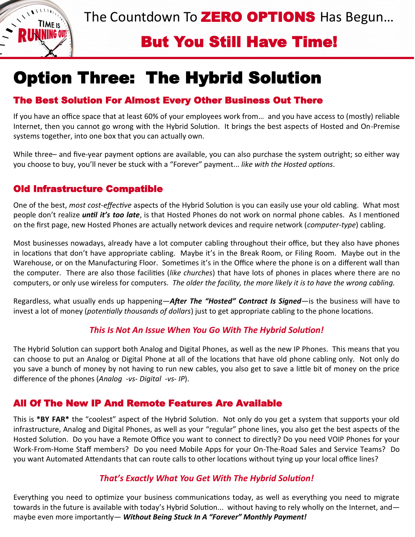The Countdown To **ZERO OPTIONS** Has Begun...



### But You Still Have Time!

# Option Three: The Hybrid Solution

#### The Best Solution For Almost Every Other Business Out There

If you have an office space that at least 60% of your employees work from… and you have access to (mostly) reliable Internet, then you cannot go wrong with the Hybrid Solution. It brings the best aspects of Hosted and On-Premise systems together, into one box that you can actually own.

While three– and five-year payment options are available, you can also purchase the system outright; so either way you choose to buy, you'll never be stuck with a "Forever" payment... *like with the Hosted options*.

#### Old Infrastructure Compatible

One of the best, *most cost-effective* aspects of the Hybrid Solution is you can easily use your old cabling. What most people don't realize *until it's too late*, is that Hosted Phones do not work on normal phone cables. As I mentioned on the first page, new Hosted Phones are actually network devices and require network (*computer-type*) cabling.

Most businesses nowadays, already have a lot computer cabling throughout their office, but they also have phones in locations that don't have appropriate cabling. Maybe it's in the Break Room, or Filing Room. Maybe out in the Warehouse, or on the Manufacturing Floor. Sometimes it's in the Office where the phone is on a different wall than the computer. There are also those facilities (*like churches*) that have lots of phones in places where there are no computers, or only use wireless for computers. *The older the facility, the more likely it is to have the wrong cabling.* 

Regardless, what usually ends up happening—*After The "Hosted" Contract Is Signed*—is the business will have to invest a lot of money (*potentially thousands of dollars*) just to get appropriate cabling to the phone locations.

#### *This Is Not An Issue When You Go With The Hybrid Solution!*

The Hybrid Solution can support both Analog and Digital Phones, as well as the new IP Phones. This means that you can choose to put an Analog or Digital Phone at all of the locations that have old phone cabling only. Not only do you save a bunch of money by not having to run new cables, you also get to save a little bit of money on the price difference of the phones (*Analog -vs- Digital -vs- IP*).

#### All Of The New IP And Remote Features Are Available

This is **\*BY FAR\*** the "coolest" aspect of the Hybrid Solution. Not only do you get a system that supports your old infrastructure, Analog and Digital Phones, as well as your "regular" phone lines, you also get the best aspects of the Hosted Solution. Do you have a Remote Office you want to connect to directly? Do you need VOIP Phones for your Work-From-Home Staff members? Do you need Mobile Apps for your On-The-Road Sales and Service Teams? Do you want Automated Attendants that can route calls to other locations without tying up your local office lines?

#### *That's Exactly What You Get With The Hybrid Solution!*

Everything you need to optimize your business communications today, as well as everything you need to migrate towards in the future is available with today's Hybrid Solution... without having to rely wholly on the Internet, and maybe even more importantly— *Without Being Stuck In A "Forever" Monthly Payment!*